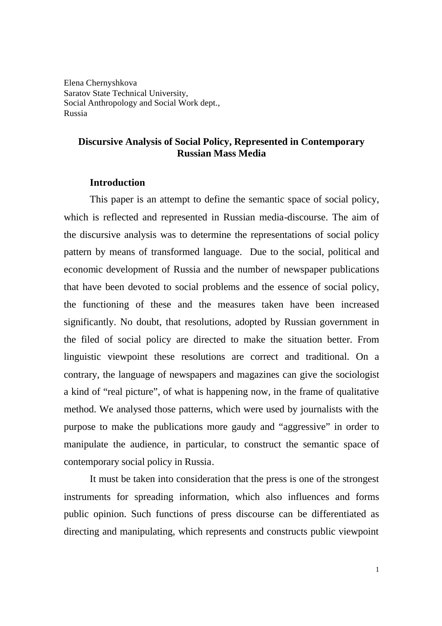Elena Chernyshkova Saratov State Technical University, Social Anthropology and Social Work dept., Russia

## **Discursive Analysis of Social Policy, Represented in Contemporary Russian Mass Media**

#### **Introduction**

This paper is an attempt to define the semantic space of social policy, which is reflected and represented in Russian media-discourse. The aim of the discursive analysis was to determine the representations of social policy pattern by means of transformed language. Due to the social, political and economic development of Russia and the number of newspaper publications that have been devoted to social problems and the essence of social policy, the functioning of these and the measures taken have been increased significantly. No doubt, that resolutions, adopted by Russian government in the filed of social policy are directed to make the situation better. From linguistic viewpoint these resolutions are correct and traditional. On a contrary, the language of newspapers and magazines can give the sociologist a kind of "real picture", of what is happening now, in the frame of qualitative method. We analysed those patterns, which were used by journalists with the purpose to make the publications more gaudy and "aggressive" in order to manipulate the audience, in particular, to construct the semantic space of contemporary social policy in Russia.

It must be taken into consideration that the press is one of the strongest instruments for spreading information, which also influences and forms public opinion. Such functions of press discourse can be differentiated as directing and manipulating, which represents and constructs public viewpoint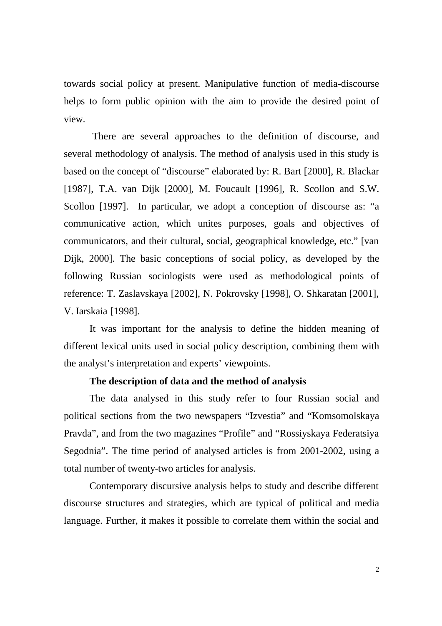towards social policy at present. Manipulative function of media-discourse helps to form public opinion with the aim to provide the desired point of view.

 There are several approaches to the definition of discourse, and several methodology of analysis. The method of analysis used in this study is based on the concept of "discourse" elaborated by: R. Bart [2000], R. Blackar [1987], T.A. van Dijk [2000], M. Foucault [1996], R. Scollon and S.W. Scollon [1997]. In particular, we adopt a conception of discourse as: "a communicative action, which unites purposes, goals and objectives of communicators, and their cultural, social, geographical knowledge, etc." [van Dijk, 2000]. The basic conceptions of social policy, as developed by the following Russian sociologists were used as methodological points of reference: T. Zaslavskaya [2002], N. Pokrovsky [1998], O. Shkaratan [2001], V. Iarskaia [1998].

It was important for the analysis to define the hidden meaning of different lexical units used in social policy description, combining them with the analyst's interpretation and experts' viewpoints.

## **The description of data and the method of analysis**

The data analysed in this study refer to four Russian social and political sections from the two newspapers "Izvestia" and "Komsomolskaya Pravda", and from the two magazines "Profile" and "Rossiyskaya Federatsiya Segodnia". The time period of analysed articles is from 2001-2002, using a total number of twenty-two articles for analysis.

Contemporary discursive analysis helps to study and describe different discourse structures and strategies, which are typical of political and media language. Further, it makes it possible to correlate them within the social and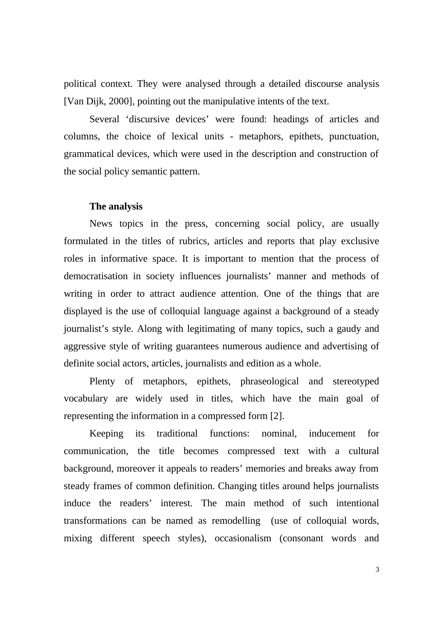political context. They were analysed through a detailed discourse analysis [Van Dijk, 2000], pointing out the manipulative intents of the text.

Several 'discursive devices' were found: headings of articles and columns, the choice of lexical units - metaphors, epithets, punctuation, grammatical devices, which were used in the description and construction of the social policy semantic pattern.

#### **The analysis**

News topics in the press, concerning social policy, are usually formulated in the titles of rubrics, articles and reports that play exclusive roles in informative space. It is important to mention that the process of democratisation in society influences journalists' manner and methods of writing in order to attract audience attention. One of the things that are displayed is the use of colloquial language against a background of a steady journalist's style. Along with legitimating of many topics, such a gaudy and aggressive style of writing guarantees numerous audience and advertising of definite social actors, articles, journalists and edition as a whole.

Plenty of metaphors, epithets, phraseological and stereotyped vocabulary are widely used in titles, which have the main goal of representing the information in a compressed form [2].

Keeping its traditional functions: nominal, inducement for communication, the title becomes compressed text with a cultural background, moreover it appeals to readers' memories and breaks away from steady frames of common definition. Changing titles around helps journalists induce the readers' interest. The main method of such intentional transformations can be named as remodelling (use of colloquial words, mixing different speech styles), occasionalism (consonant words and

3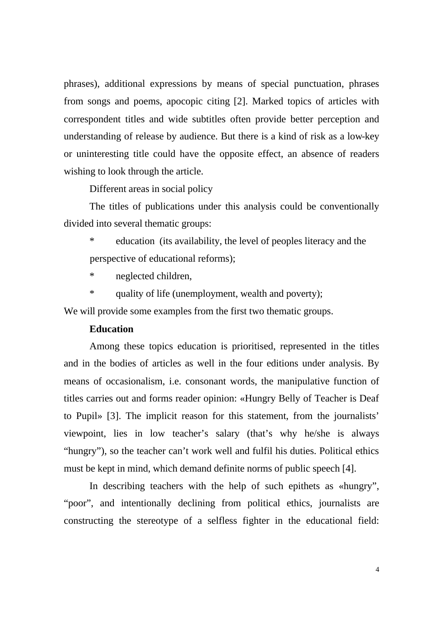phrases), additional expressions by means of special punctuation, phrases from songs and poems, apocopic citing [2]. Marked topics of articles with correspondent titles and wide subtitles often provide better perception and understanding of release by audience. But there is a kind of risk as a low-key or uninteresting title could have the opposite effect, an absence of readers wishing to look through the article.

Different areas in social policy

The titles of publications under this analysis could be conventionally divided into several thematic groups:

\* education (its availability, the level of peoples literacy and the perspective of educational reforms);

\* neglected children,

\* quality of life (unemployment, wealth and poverty);

We will provide some examples from the first two thematic groups.

#### **Education**

Among these topics education is prioritised, represented in the titles and in the bodies of articles as well in the four editions under analysis. By means of occasionalism, i.e. consonant words, the manipulative function of titles carries out and forms reader opinion: «Hungry Belly of Teacher is Deaf to Pupil» [3]. The implicit reason for this statement, from the journalists' viewpoint, lies in low teacher's salary (that's why he/she is always "hungry"), so the teacher can't work well and fulfil his duties. Political ethics must be kept in mind, which demand definite norms of public speech [4].

In describing teachers with the help of such epithets as «hungry", "poor", and intentionally declining from political ethics, journalists are constructing the stereotype of a selfless fighter in the educational field: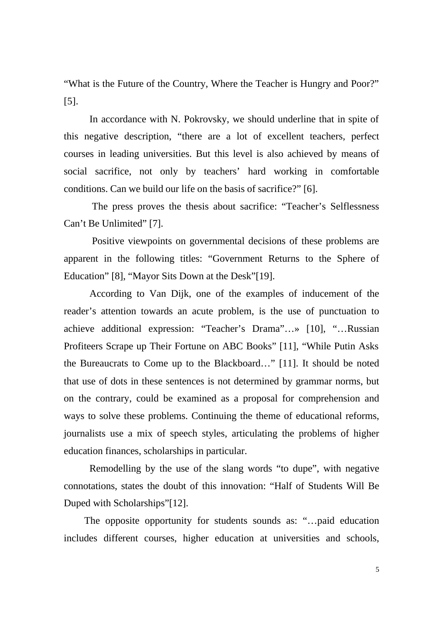"What is the Future of the Country, Where the Teacher is Hungry and Poor?" [5].

In accordance with N. Pokrovsky, we should underline that in spite of this negative description, "there are a lot of excellent teachers, perfect courses in leading universities. But this level is also achieved by means of social sacrifice, not only by teachers' hard working in comfortable conditions. Can we build our life on the basis of sacrifice?" [6].

 The press proves the thesis about sacrifice: "Teacher's Selflessness Can't Be Unlimited" [7].

Positive viewpoints on governmental decisions of these problems are apparent in the following titles: "Government Returns to the Sphere of Education" [8], "Mayor Sits Down at the Desk"[19].

According to Van Dijk, one of the examples of inducement of the reader's attention towards an acute problem, is the use of punctuation to achieve additional expression: "Teacher's Drama"…» [10], "…Russian Profiteers Scrape up Their Fortune on ABC Books" [11], "While Putin Asks the Bureaucrats to Come up to the Blackboard…" [11]. It should be noted that use of dots in these sentences is not determined by grammar norms, but on the contrary, could be examined as a proposal for comprehension and ways to solve these problems. Continuing the theme of educational reforms, journalists use a mix of speech styles, articulating the problems of higher education finances, scholarships in particular.

Remodelling by the use of the slang words "to dupe", with negative connotations, states the doubt of this innovation: "Half of Students Will Be Duped with Scholarships"[12].

The opposite opportunity for students sounds as: "…paid education includes different courses, higher education at universities and schools,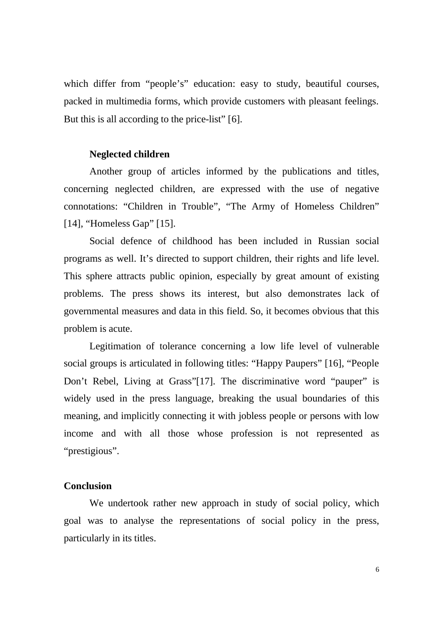which differ from "people's" education: easy to study, beautiful courses, packed in multimedia forms, which provide customers with pleasant feelings. But this is all according to the price-list" [6].

#### **Neglected children**

Another group of articles informed by the publications and titles, concerning neglected children, are expressed with the use of negative connotations: "Children in Trouble", "The Army of Homeless Children" [14], "Homeless Gap" [15].

Social defence of childhood has been included in Russian social programs as well. It's directed to support children, their rights and life level. This sphere attracts public opinion, especially by great amount of existing problems. The press shows its interest, but also demonstrates lack of governmental measures and data in this field. So, it becomes obvious that this problem is acute.

Legitimation of tolerance concerning a low life level of vulnerable social groups is articulated in following titles: "Happy Paupers" [16], "People Don't Rebel, Living at Grass"[17]. The discriminative word "pauper" is widely used in the press language, breaking the usual boundaries of this meaning, and implicitly connecting it with jobless people or persons with low income and with all those whose profession is not represented as "prestigious".

### **Conclusion**

We undertook rather new approach in study of social policy, which goal was to analyse the representations of social policy in the press, particularly in its titles.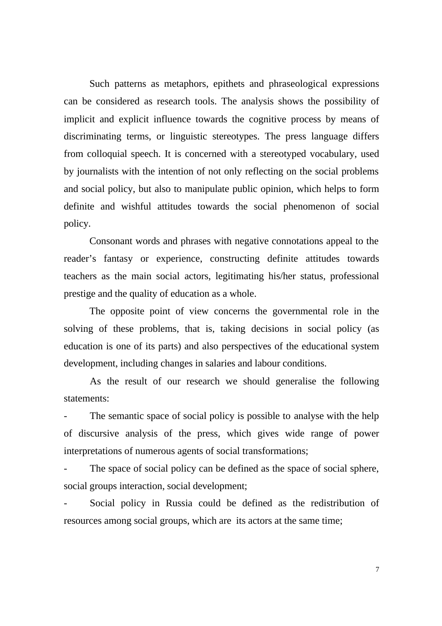Such patterns as metaphors, epithets and phraseological expressions can be considered as research tools. The analysis shows the possibility of implicit and explicit influence towards the cognitive process by means of discriminating terms, or linguistic stereotypes. The press language differs from colloquial speech. It is concerned with a stereotyped vocabulary, used by journalists with the intention of not only reflecting on the social problems and social policy, but also to manipulate public opinion, which helps to form definite and wishful attitudes towards the social phenomenon of social policy.

Consonant words and phrases with negative connotations appeal to the reader's fantasy or experience, constructing definite attitudes towards teachers as the main social actors, legitimating his/her status, professional prestige and the quality of education as a whole.

The opposite point of view concerns the governmental role in the solving of these problems, that is, taking decisions in social policy (as education is one of its parts) and also perspectives of the educational system development, including changes in salaries and labour conditions.

As the result of our research we should generalise the following statements:

The semantic space of social policy is possible to analyse with the help of discursive analysis of the press, which gives wide range of power interpretations of numerous agents of social transformations;

The space of social policy can be defined as the space of social sphere, social groups interaction, social development;

Social policy in Russia could be defined as the redistribution of resources among social groups, which are its actors at the same time;

7